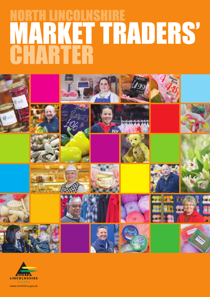# NORTH LINCOLNSHIRE MARKET TRADERS' CHARTER



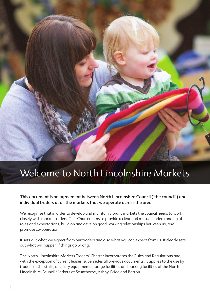

# Welcome to North Lincolnshire Markets

**This document is an agreement between North Lincolnshire Council ('the council') and individual traders at all the markets that we operate across the area.**

We recognise that in order to develop and maintain vibrant markets the council needs to work closely with market traders. This Charter aims to provide a clear and mutual understanding of roles and expectations, build on and develop good working relationships between us, and promote co-operation.

It sets out what we expect from our traders and also what you can expect from us. It clearly sets out what will happen if things go wrong.

The North Lincolnshire Markets Traders' Charter incorporates the Rules and Regulations and, with the exception of current leases, supersedes all previous documents. It applies to the use by traders of the stalls, ancillary equipment, storage facilities and parking facilities of the North Lincolnshire Council Markets at Scunthorpe, Ashby, Brigg and Barton.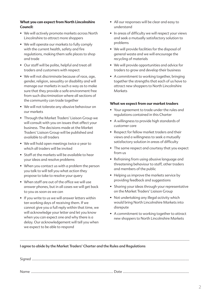#### **What you can expect from North Lincolnshire Council:**

- We will actively promote markets across North Lincolnshire to attract more shoppers
- We will operate our markets to fully comply with the current health, safety and fire regulations, making them safe places to shop and trade
- Our staff will be polite, helpful and treat all traders and customers with respect
- We will not discriminate because of race, age, gender, religion, sexuality or disability and will manage our markets in such a way as to make sure that they provide a safe environment free from such discrimination where all sections of the community can trade together
- We will not tolerate any abusive behaviour on our markets
- Through the Market Traders' Liaison Group we will consult with you on issues that affect your business. The decisions made at the Market Traders' Liaison Group will be published and available to all traders
- We will hold open meetings twice a year to which all traders will be invited
- Staff at the markets will be available to hear your ideas and resolve problems
- When you contact us with a problem the person you talk to will tell you what action they propose to take to resolve your query
- When staff are out of the office we will use answer phones, but in all cases we will get back to you as soon as we can
- If you write to us we will answer letters within ten working days of receiving them. If we cannot give you a full reply within that time, we will acknowledge your letter and let you know when you can expect one and why there is a delay. Our acknowledgement will tell you when we expect to be able to respond
- All our responses will be clear and easy to understand
- In areas of difficulty we will respect your views and seek a mutually satisfactory solution to problems
- We will provide facilities for the disposal of general waste and we will encourage the recycling of materials
- We will provide opportunities and advice for traders to grow and develop their business
- A commitment to working together, bringing together the strengths that each of us have to attract new shoppers to North Lincolnshire **Markets**

#### **What we expect from our market traders**

- Your agreement to trade under the rules and regulations contained in this Charter
- A willingness to provide high standards of customer care
- Respect for fellow market traders and their views and a willingness to seek a mutually satisfactory solution in areas of difficulty
- The same respect and courtesy that you expect from us
- Refraining from using abusive language and threatening behaviour to staff, other traders and members of the public
- Helping us improve the markets service by providing feedback and suggestions
- Sharing your ideas through your representative on the Market Traders' Liaison Group
- Not undertaking any illegal activity which would bring North Lincolnshire Markets into disrepute
- A commitment to working together to attract new shoppers to North Lincolnshire Markets

#### **I agree to abide by the Market Traders' Charter and the Rules and Regulations**

..............................................................................................................................................................................................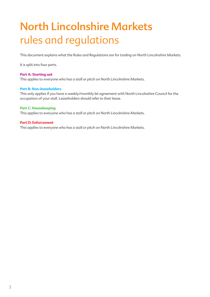# **North Lincolnshire Markets** rules and regulations

This document explains what the Rules and Regulations are for trading on North Lincolnshire Markets.

It is split into four parts.

#### **Part A: Starting out**

This applies to everyone who has a stall or pitch on North Lincolnshire Markets.

#### **Part B: Non-leaseholders**

This only applies if you have a weekly/monthly let agreement with North Lincolnshire Council for the occupation of your stall. Leaseholders should refer to their lease.

#### **Part C: Housekeeping**

This applies to everyone who has a stall or pitch on North Lincolnshire Markets.

#### **Part D: Enforcement**

This applies to everyone who has a stall or pitch on North Lincolnshire Markets.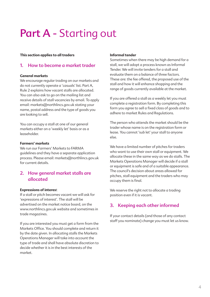# **Part A** - Starting out

#### **This section applies to all traders**

### **1. How to become a market trader**

#### **General markets**

We encourage regular trading on our markets and do not currently operate a 'casuals' list. Part A, Rule 2 explains how vacant stalls are allocated. You can also ask to go on the mailing list and receive details of stall vacancies by email. To apply email: markets@northlincs.gov.uk stating your name, postal address and the type of goods you are looking to sell.

You can occupy a stall at one of our general markets either on a 'weekly let' basis or as a leaseholder.

#### **Farmers' markets**

We run our Farmers' Markets to FARMA guidelines and they have a separate application process. Please email: markets@northlincs.gov.uk for current details.

# **2. How general market stalls are allocated**

#### **Expressions of interes**t

If a stall or pitch becomes vacant we will ask for 'expressions of interest'. The stall will be advertised on the market notice board, on the www.northlincs.gov.uk website and sometimes in trade magazines.

If you are interested you must get a form from the Markets Office. You should complete and return it by the date given. In allocating stalls the Markets Operations Manager will take into account the type of trade and shall have absolute discretion to decide whether it is in the best interests of the market.

#### **Informal tender**

Sometimes when there may be high demand for a stall, we will adopt a process known as Informal Tender. We will invite tenders for a stall and evaluate them on a balance of three factors. These are: the fee offered, the proposed use of the stall and how it will enhance shopping and the range of goods currently available at the market.

If you are offered a stall as a weekly let you must complete a registration form. By completing this form you agree to sell a fixed class of goods and to adhere to market Rules and Regulations.

The person who attends the market should be the trader whose name is on the registration form or lease. You cannot 'sub let' your stall to anyone else.

We have a limited number of pitches for traders who want to use their own stall or equipment. We allocate these in the same way as we do stalls. The Markets Operations Manager will decide if a stall or equipment is safe and of a suitable appearance. The council's decision about areas allowed for pitches, stall equipment and the traders who may occupy them is final.

We reserve the right not to allocate a trading position even if it is vacant.

### **3. Keeping each other informed**

If your contact details (and those of any contact staff you nominate) change you must let us know.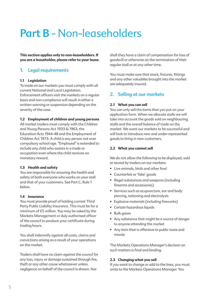# **Part B** - Non-leaseholders

**This section applies only to non-leaseholders. If you are a leaseholder, please refer to your lease.**

### **1. Legal requirements**

#### **1.1 Legislation**

To trade on our markets you must comply with all current National and Local Legislation. Enforcement officers visit the markets on a regular basis and non-compliance will result in either a written warning or suspension depending on the severity of the case.

#### **1.2 Employment of children and young persons**

All market traders must comply with the Children and Young Persons Act 1933 & 1963, the Education Acts 1944-48 and the Employment of Children Act 1973. A child is any person not over compulsory school age. "Employed" is extended to include any child who assists in a trade or occupation even where the child receives no monetary reward.

#### **1.3 Health and safety**

You are responsible for ensuring the health and safety of both everyone who works on your stall and that of your customers. See Part C, Rule 1 below.

#### **1.4 Insurance**

You must provide proof of holding current Third Party Public Liability Insurance. This must be for a minimum of £5 million. You may be asked by the Markets Management or duly authorised officer of the council to produce your certificate during trading hours.

You shall indemnify against all costs, claims and convictions arising as a result of your operations on the market.

Traders shall have no claim against the council for any loss, injury or damage sustained through fire, theft or any other cause whatsoever unless negligence on behalf of the council is shown. Nor

shall they have a claim of compensation for loss of goodwill or otherwise on the termination of their regular stall or at any other time.

You must make sure that stock, fixtures, fittings and any other valuables brought into the market are adequately insured.

# **2. Selling at our markets**

#### **2.1 What you can sell**

You can only sell the items that you put on your application form. When we allocate stalls we will take into account the goods sold on neighbouring stalls and the overall balance of trade on the market. We want our markets to be successful and will look to introduce new and under-represented goods to bring in new customers.

#### **2.2 What you cannot sell**

We do not allow the following to be displayed, sold or stored by traders on our markets:

- Live animals, birds and other fowl
- Counterfeit or 'fake' goods
- Illegal substances and weapons (including firearms and accessories)
- Services such as acupuncture, ear and body piercing, tattooing and electrolysis
- Explosive materials (including fireworks)
- Certain hazardous liquids
- Bulk gases
- Any substance that might be a source of danger to anyone attending the market
- Any item that is offensive to public taste and morals

The Markets Operations Manager's decision on such matters is final and binding.

#### **2.3 Changing what you sell**

If you want to change or add to the lines, you must write to the Markets Operations Manager. You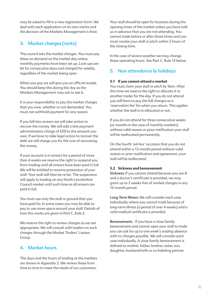may be asked to fill in a new registration form. We deal with each application on its own merits and the decision of the Markets Management is final.

# **3. Market charges (rents)**

The council sets the market charges. You must pay these on demand on the market day unless monthly payments have been set up. Lock ups are let for consecutive days and charged for weekly, regardless of the market being open.

When you pay we will give you an official receipt. You should keep this during the day as the Markets Management may ask to see it.

It is your responsibility to pay the market charges that you owe, whether or not demanded. You must not withhold payment for any reason.

If you fall into arrears we will take action to recover the money. We will add a late payment administration charge of £50 to the amount you owe. If we have to take legal action to recover the debt we will charge you for the cost of recovering the money.

If your account is in arrears for a period of more than 4 weeks we reserve the right to suspend you from trading until all arrears have been paid in full. We will be entitled to resume possession of your stall. Your stall will then be re-let. The suspension will apply to trading on any North Lincolnshire Council market until such time as all arrears are paid in full.

You must use only the stall or ground that you have paid for. In some cases you may be able to pay to use more space around your stall. Details of how this works are given in Part C, Rule 2.

We reserve the right to review charges as we see appropriate. We will consult with traders on such charges through the Market Traders' Liaison Group.

# **4. Market hours**

The days and the hours of trading at the markets are shown in Appendix 2. We review these from time to time to meet the needs of our customers.

Your stall should be open for business during the opening times of the market unless you have told us in advance that you are not attending. You cannot trade before or after these times and you must vacate your stall or pitch within 2 hours of the closing time.

In the case of severe weather we may change these operating hours. See Part C, Rule 13 below.

# **5. Non attendance & holidays**

#### **5.1 If you cannot attend a market**

You must claim your stall or pitch by 9am. After this time we reserve the right to allocate it to another trader for the day. If you do not attend you still have to pay the full charges as a 'reservation fee' for when you return. This applies whether the stall is re-allocated or not.

If you do not attend for three consecutive weeks (or months in the case of monthly markets) without valid reason or prior notification your stall will be reallocated permanently.

On the fourth 'ad-hoc' occasion that you do not attend within a 12-month period without valid reason or prior notification and agreement, your stall will be reallocated.

#### **5.2 Sickness and bereavement**

**Sickness:** If you cannot attend because you are ill and a doctor's certificate is provided, we may grant up to 2 weeks free of market charges in any 12-month period.

**Long Term Illness:** We will consider each case individually where you cannot trade because of long-term illness (a period of over 4 weeks) and a valid medical certificate is provided.

**Bereavement:.** If you have a close family bereavement and cannot open your stall to trade you can ask for up to one week's trading absence with no charges payable. We will consider each case individually. A close family bereavement is defined as mother, father, brother, sister, son, daughter, husband/wife or co-habiting partner.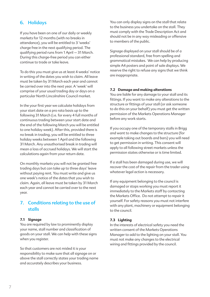# **6. Holidays**

If you have been on one of our daily or weekly markets for 12 months (with no breaks in attendance), you will be entitled to 3 'weeks' charge free in the next qualifying period. The qualifying period runs from 1 April – 31 March. During this charge-free period you can either continue to trade or take leave.

To do this you must give us at least 4 weeks' notice in writing of the dates you wish to claim. All leave must be taken by 31 March each year and cannot be carried over into the next year. A 'week' will comprise of your usual trading day or days on a particular North Lincolnshire Council market.

In the your first year we calculate holidays from your start date on a pro rata basis up to the following 31 March (i.e. for every 4 full months of continuous trading between your start date and the end of the following March you will be entitled to one holiday week). After this, provided there is no break in trading, you will be entitled to three holiday weeks between 1 April and the following 31 March. Any unauthorised break in trading will mean a loss of accrued holidays. We will start the calculations again from your return date.

On monthly markets you will not be granted free trading days but can take up to three days' leave without paying rent. You must write and give us one week's notice of the dates that you wish to claim. Again, all leave must be taken by 31 March each year and cannot be carried over to the next year.

# **7. Conditions relating to the use of stalls**

#### **7.1 Signage**

You are required by law to prominently display your name, stall number and classification of goods on your stall. We can help with these signs when you register.

So that customers are not misled it is your responsibility to make sure that all signage on or above the stall correctly states your trading name and accurately describes your business.

You can only display signs on the stall that relate to the business you undertake on the stall. They must comply with the Trade Description Act and should not be in any way misleading or offensive to members of the public.

Signage displayed on your stall should be of a professional standard, free from spelling and grammatical mistakes. We can help by producing simple A4 posters and point of sale displays. We reserve the right to refuse any signs that we think are inappropriate.

#### **7.2 Damage and making alterations**

You are liable for any damage to your stall and its fittings. If you want to make any alterations to the structure or fittings of your stall (or ask someone to do this on your behalf) you must get the written permission of the Markets Operations Manager before any work starts.

If you occupy one of the temporary stalls in Brigg and want to make changes to the structure (for example taking out boards and bars) you will need to get permission in writing. This consent will apply to all following street markets unless the permission states otherwise or is time limited.

If a stall has been damaged during use, we will recover the cost of the repair from the trader using whatever legal action is necessary.

If any equipment belonging to the council is damaged or stops working you must report it immediately to the Markets staff by contacting the Markets Office. Do not attempt to repair it yourself. For safety reasons you must not interfere with any plant, machinery or equipment belonging to the council.

#### **7.3 Lighting**

In the interests of electrical safety you need the written consent of the Markets Operations Manager to add to the lighting on your stall. You must not make any changes to the electrical wiring and fittings provided by the council.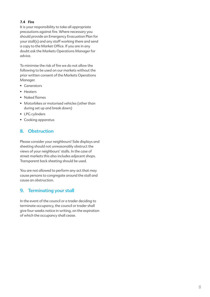#### **7.4 Fire**

It is your responsibility to take all appropriate precautions against fire. Where necessary you should provide an Emergency Evacuation Plan for your stall(s) and any staff working there and send a copy to the Market Office. If you are in any doubt ask the Markets Operations Manager for advice.

To minimise the risk of fire we do not allow the following to be used on our markets without the prior written consent of the Markets Operations Manager.

- Generators
- Heaters
- Naked flames
- Motorbikes or motorised vehicles (other than during set up and break down)
- LPG cylinders
- Cooking apparatus

# **8. Obstruction**

Please consider your neighbours! Side displays and sheeting should not unreasonably obstruct the views of your neighbours' stalls. In the case of street markets this also includes adjacent shops. Transparent back sheeting should be used.

You are not allowed to perform any act that may cause persons to congregate around the stall and cause an obstruction.

### **9. Terminating your stall**

In the event of the council or a trader deciding to terminate occupancy, the council or trader shall give four weeks notice in writing, on the expiration of which the occupancy shall cease.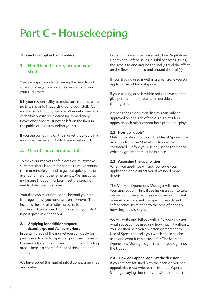# **Part C - Housekeeping**

#### **This section applies to all traders**

# **1. Health and safety around your stall**

You are responsible for ensuring the health and safety of everyone who works on your stall and your customers.

It is your responsibility to make sure that there are no trip, slip or fall hazards around your stall. You must ensure that any spills or other debris such as vegetable waste are cleared up immediately. Boxes and stock must not be left on the floor in the public areas surrounding your stall.

If you see something on the market that you think is unsafe, please report it to the markets staff.

### **2. Use of space around stalls**

To make our markets safe places we must make sure that there is room for people to move around the market safely – and to get out quickly in the event of a fire or other emergency. We must also make sure that our markets meet the specific needs of disabled customers.

Your displays must not extend beyond your stall frontage unless you have written approval. This includes the use of trestles, dress rails and carousels. The defined trading area for your stall type is given in Appendix 4.

#### **2.1 Applying for additional space – Scunthorpe and Ashby markets**

In certain areas of the market you can apply for permission to use, for specified purposes, some of the area adjacent to and surrounding your trading area. There is a charge for use of this additional space.

We have coded the market into 3 zones: green, red and amber.

In doing this we have looked into Fire Regulations, Health and Safety issues, disability access issues, the access to and around the stall(s) and the effect on the flow of public to and around the stall(s).

If your trading area is within a green zone you can apply to use additional space.

If your trading area is within red zone we cannot give permission to place items outside your trading area.

Amber zones mean that displays can only be approved on one side of the aisle, i.e. traders opposite each other cannot both put out displays.

#### **2.2 How do I apply?**

Only applications made on the Use of Space form available from the Markets Office will be considered. Before you use any space the signed written agreement must be in place.

#### **2.3 Assessing the application**

When you apply we will acknowledge your application and contact you if we need more details.

The Markets Operations Manager will consider your application. He will use his discretion to take into account the effect this will have on adjacent or nearby traders and any specific health and safety concerns relating to the type of goods or how they are displayed.

We will write and tell you within 10 working days what space can be used and how much it will cost. You will then be given a written Agreement for Use of Space that tells you which space can be used and what it can be used for. The Markets Operations Manager signs this and you sign it as the trader.

#### **2.4 How do I appeal against the decision?**

If you are not satisfied with the decision you can appeal. You must write to the Markets Operations Manager saying that that you wish to appeal the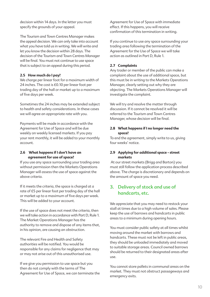decision within 14 days. In the letter you must specify the grounds of your appeal.

The Tourism and Town Centres Manager makes the appeal decision. We can only take into account what you have told us in writing. We will write and let you know the decision within 28 days. The decision of the Tourism and Town Centres Manager will be final. You must not continue to use space that is subject to an appeal during this period.

#### **2.5 How much do I pay?**

We charge per linear foot for a maximum width of 24 inches. The cost is £0.10 per linear foot per trading day of the hall or market up to a maximum of five days per week.

Sometimes the 24 inches may be extended subject to health and safety considerations. In these cases we will agree an appropriate rate with you.

Payments will be made in accordance with the Agreement for Use of Space and will be due weekly on weekly licensed markets. If you pay your rent monthly, it will be added to your monthly account.

#### **2.6 What happens if I don't have an agreement for use of space?**

If you use any space surrounding your trading area without permission then the Markets Operations Manager will assess the use of space against the above criteria.

If it meets the criteria, the space is charged at a rate of £5 per linear foot per trading day of the hall or market up to a maximum of five days per week. This will be added to your account.

If the use of space does not meet the criteria, then we will take action in accordance with Part D, Rule 1. The Market Operations Manager has the authority to remove and dispose of any items that, in his opinion, are causing an obstruction.

The relevant Fire and Health and Safety authorities will be notified. You would be responsible for any claims for negligence that may or may not arise out of this unauthorised use.

If we give you permission to use space but you then do not comply with the terms of The Agreement for Use of Space, we can terminate the Agreement for Use of Space with immediate effect. If this happens, you will receive confirmation of this termination in writing.

If you continue to use any space surrounding your trading area following the termination of the Agreement for the Use of Space we will take action as outlined in Part D, Rule 1.

#### **2.7 Complaints**

Any trader or member of the public can make a complaint about the use of additional space, but this must be in writing to the Markets Operations Manager, clearly setting out why they are objecting. The Markets Operations Manager will investigate the complaint.

We will try and resolve the matter through discussion. If it cannot be resolved it will be referred to the Tourism and Town Centres Manager, whose decision will be final.

#### **2.8 What happens if I no longer need the space?**

To end the agreement, simply write to us, giving four weeks' notice.

#### **2.9 Applying for additional space - street markets**

At our street markets (Brigg and Barton) you must still follow the application process described above. The charge is discretionary and depends on the amount of space you need.

# **3. Delivery of stock and use of handcarts, etc.**

We appreciate that you may need to restock your stall at times due to a high volume of sales. Please keep the use of barrows and handcarts in public areas to a minimum during opening hours.

You must consider public safety at all times whilst moving around the market with barrows and handcarts. These must not be left in public areas, they should be unloaded immediately and moved to suitable storage areas. Council owned barrows should be returned to their designated areas after use.

You cannot store pallets in communal areas on the market. They must not obstruct passageways and emergency exits.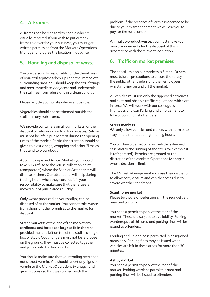# **4. A-Frames**

A-frames can be a hazard to people who are visually impaired. If you wish to put out an Aframe to advertise your business, you must get written permission from the Markets Operations Manager and agree the location in advance.

# **5. Handling and disposal of waste**

You are personally responsible for the cleanliness of your stalls/pitches/lock ups and the immediate surrounding area. You should keep the stall fittings and area immediately adjacent and underneath the stall free from refuse and in a clean condition.

Please recycle your waste wherever possible.

Vegetables should not be trimmed outside the stall or in any public area.

We provide containers on all our markets for the disposal of refuse and certain food wastes. Refuse must not be left in public areas during the opening times of the market. Particular attention should be given to plastic bags, wrapping and other 'flimsies' that tend to blow about.

At Scunthorpe and Ashby Markets you should take bulk refuse to the refuse collection point (compactors) where the Market Attendants will dispose of them. Our attendants will help during trading hours when they can, but it is your responsibility to make sure that the refuse is moved out of public areas quickly.

Only waste produced on your stall(s) can be disposed of at the market. You cannot take waste from shops or other premises to the market for disposal.

**Street markets:** At the end of the market any cardboard and boxes too large to fit in the bins provided must be left on top of the stall in a single box or stack. Coat hangers must not be left loose on the ground; they must be collected together and placed into the bins or a box.

You should make sure that your trading area does not attract vermin. You should report any signs of vermin to the Market Operations Manager and give us access so that we can deal with the

problem. If the presence of vermin is deemed to be due to your mismanagement we will ask you to pay for the pest control.

**Animal by-product waste:** you must make your own arrangements for the disposal of this in accordance with the relevant legislation.

# **6. Traffic on market premises**

The speed limit on our markets is 5 mph. Drivers must take all precautions to ensure the safety of the public, other traders and their employees whilst moving on and off the market.

All vehicles must use only the approved entrances and exits and observe traffic regulations which are in force. We will work with our colleagues in Highways and Car Parking and Enforcement to take action against offenders.

#### **Street markets**

We only allow vehicles and trailers with permits to stay on the market during opening hours.

You can buy a permit where a vehicle is deemed essential to the running of the stall (for example it is refrigerated). Permits are granted at the discretion of the Markets Operations Manager whose decision is final.

The Market Management may use their discretion to allow early closure and vehicle access due to severe weather conditions.

#### **Scunthorpe market**

Please be aware of pedestrians in the rear delivery area and car park.

You need a permit to park at the rear of the market. These are subject to availability. Parking wardens patrol this area and parking fines will be issued to offenders.

Loading and unloading is permitted in designated areas only. Parking fines may be issued when vehicles are left in these areas for more than 30 minutes.

#### **Ashby market**

You need a permit to park at the rear of the market. Parking wardens patrol this area and parking fines will be issued to offenders.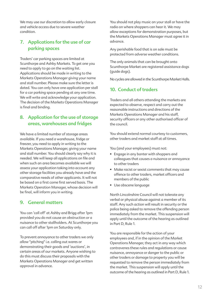We may use our discretion to allow early closure and vehicle access due to severe weather condition.

# **7. Applications for the use of car parking spaces**

Traders' car parking spaces are limited at Scunthorpe and Ashby Markets. To get one you need to apply to go on the waiting list. Applications should be made in writing to the Markets Operations Manager giving your name and stall number. Please make sure the letter is dated. You can only have one application per stall for a car parking space pending at any one time. We will write and acknowledge your application. The decision of the Markets Operations Manager is final and binding.

# **8. Application for the use of storage areas, warehouses and fridges**

We have a limited number of storage areas available. If you need a warehouse, fridge or freezer, you need to apply in writing to the Markets Operations Manager, giving your name and stall number. You should clearly say why it is needed. We will keep all applications on file and when such an area becomes available we will assess your application taking into account any other storage facilities you already have and the comparative needs of other applicants. It will not be based on a first come first served basis. The Markets Operation Manager, whose decision will be final, will inform you in writing.

### **9. General matters**

You can 'call off' at Ashby and Brigg after 1pm provided you do not cause an obstruction or a nuisance to other stallholders. At Scunthorpe you can call off after 1pm on Saturday only.

To prevent annoyance to other traders we only allow "pitching" i.e. calling out wares or demonstrating their goods and 'auctions', in certain areas of our markets. Anyone wishing to do this must discuss their proposals with the Markets Operations Manager and get written approval in advance.

You should not play music on your stall or have the radio on where shoppers can hear it. We may allow exceptions for demonstration purposes, but the Markets Operations Manager must agree it in advance.

Any perishable food that is on sale must be protected from adverse weather conditions.

The only animals that can be brought onto Scunthorpe Market are registered assistance dogs (guide dogs).

No cycles are allowed in the Scunthorpe Market Halls.

# **10. Conduct of traders**

Traders and all others attending the markets are expected to observe, respect and carry out the reasonable instructions and directions of the Markets Operations Manager and his staff, security officers or any other authorised officer of the council.

You should extend normal courtesy to customers, other traders and market staff at all times.

You (and your employees) must not:

- Engage in any banter with shoppers and colleagues that causes a nuisance or annoyance to other traders
- Make racist or sexist comments that may cause offence to other traders, market officers and members of the public
- Use obscene language

North Lincolnshire Council will not tolerate any verbal or physical abuse against a member of its staff. Any such action will result in security or the police being asked to remove the offending person immediately from the market. This suspension will apply until the outcome of the hearing as outlined in Part D, Rule 1.

You are responsible for the action of your employees and, if in the opinion of the Market Operations Manager, they act in any way which contravenes these rules and regulations or cause nuisance, annoyance or danger to the public or other traders or damage to property you will be requested to remove the person immediately from the market. This suspension will apply until the outcome of the hearing as outlined in Part D, Rule 1.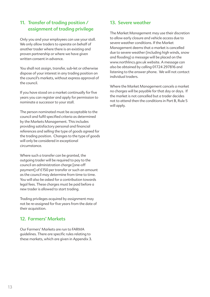# **11. Transfer of trading position / assignment of trading privilege**

Only you and your employees can use your stall. We only allow traders to operate on behalf of another trader where there is an existing and proven partnership or where we have given written consent in advance.

You shall not assign, transfer, sub-let or otherwise dispose of your interest in any trading position on the council's markets, without express approval of the council.

If you have stood on a market continually for five years you can register and apply for permission to nominate a successor to your stall.

The person nominated must be acceptable to the council and fulfil specified criteria as determined by the Markets Management. This includes providing satisfactory personal and financial references and selling the type of goods agreed for the trading position. Changes to the type of goods will only be considered in exceptional circumstance.

Where such a transfer can be granted, the outgoing trader will be required to pay to the council an administration charge [one-off payment] of £150 per transfer or such an amount as the council may determine from time to time. You will also be asked for a contribution towards legal fees. These charges must be paid before a new trader is allowed to start trading.

Trading privileges acquired by assignment may not be re-assigned for five years from the date of their acquisition.

# **12. Farmers' Markets**

Our Farmers' Markets are run to FARMA guidelines. There are specific rules relating to these markets, which are given in Appendix 3.

# **13. Severe weather**

The Market Management may use their discretion to allow early closure and vehicle access due to severe weather conditions. If the Market Management deems that a market is cancelled due to severe weather (including high winds, snow and flooding) a message will be placed on the www.northlincs.gov.uk website. A message can also be obtained by calling 01724 297816 and listening to the answer phone. We will not contact individual traders.

Where the Market Management cancels a market no charges will be payable for that day or days. If the market is not cancelled but a trader decides not to attend then the conditions in Part B, Rule 5 will apply.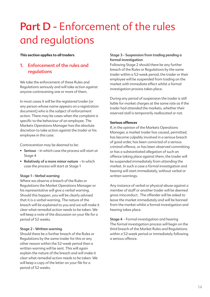# **Part D** - Enforcement of the rules and regulations

#### **This section applies to all traders**

# **1. Enforcement of the rules and regulations**

We take the enforcement of these Rules and Regulations seriously and will take action against anyone contravening one or more of them.

In most cases it will be the registered trader (or any person whose name appears on a registration document) who is the subject of enforcement action. There may be cases when the complaint is specific to the behaviour of an employee. The Markets Operations Manager has the absolute discretion to take action against the trader or his employee in this case.

Contravention may be deemed to be:

- **Serious** In which case the process will start at Stage 4
- **Relatively of a more minor nature** In which case the process will start at Stage 1

#### **Stage 1 - Verbal warning**

Where we observe a breach of the Rules or Regulations the Market Operations Manager or his representative will give a verbal warning. Should this happen, you will be clearly advised that it is a verbal warning. The nature of the breach will be explained to you and we will make it clear what remedial action needs to be taken. We will keep a note of the discussion on your file for a period of 52 weeks.

#### **Stage 2 - Written warning**

Should there be a further breach of the Rules or Regulations by the same trader for this or any other reason within the 52-week period then a written warning will be sent. This will again explain the nature of the breach and will make it clear what remedial action needs to be taken. We will keep a copy of the letter on your file for a period of 52 weeks.

#### **Stage 3 - Suspension from trading pending a formal investigation**

Following Stage 2 should there be any further breach of the Rules or Regulations by the same trader within a 52-week period, the trader or their employee will be suspended from trading on the market with immediate effect whilst a formal investigation process takes place.

During any period of suspension the trader is still liable for market charges at the same rate as if the trader had attended the markets, whether their reserved stall is temporarily reallocated or not.

#### **Serious offences**

If, in the opinion of the Markets Operations Manager, a market trader has caused, permitted, has become culpably involved in a serious breach of good order, has been convicted of a serious criminal offence, or has been observed committing or has a substantiated allegation of such an offence taking place against them, the trader will be suspended immediately from attending the market. In such a case a formal investigation and hearing will start immediately, without verbal or written warnings.

Any instance of verbal or physical abuse against a member of staff or another trader will be deemed gross misconduct. The offender will be asked to leave the market immediately and will be banned from the market whilst a formal investigation and hearing takes place.

**Stage 4** - Formal investigation and hearing The formal investigation process will begin on the third breach of the Market Rules and Regulations within a 52-week period or immediately following a serious offence.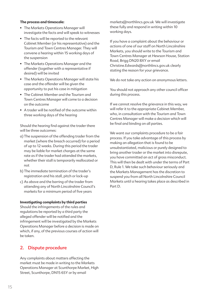#### **The process and timescale:**

- The Markets Operations Manager will investigate the facts and will speak to witnesses
- The facts will be reported to the relevant Cabinet Member (or his representative) and the Tourism and Town Centres Manager. They will convene a hearing within 15 working days of the suspension
- The Markets Operations Manager and the offender (together with a representative if desired) will be invited
- The Markets Operations Manager will state his case and the offender will be given the opportunity to put his case in mitigation
- The Cabinet Member and the Tourism and Town Centres Manager will come to a decision on the outcome
- A trader will be notified of the outcome within three working days of the hearing

Should the hearing find against the trader there will be three outcomes:

- a) The suspension of the offending trader from the market (where the breach occurred) for a period of up to 12 weeks. During this period the trader may be liable for market charges at the same rate as if the trader had attended the markets, whether their stall is temporarily reallocated or not
- b) The immediate termination of the trader's registration and his stall, pitch or lock-up
- c) As above and the barring of the trader from attending any of North Lincolnshire Council's markets for a minimum period of five years

#### **Investigating complaints by third parties**

Should the infringements of the rules and regulations be reported by a third party the alleged offender will be notified and the infringement will be investigated by the Markets Operations Manager before a decision is made on which, if any, of the previous courses of action will be taken.

### **2. Dispute procedure**

Any complaints about matters affecting the market must be made in writing to the Markets Operations Manager at Scunthorpe Market, High Street, Scunthorpe, DN15 6SY or by email

markets@northlincs.gov.uk We will investigate these fully and respond in writing within 10 working days.

If you have a complaint about the behaviour or actions of one of our staff on North Lincolnshire Markets, you should write to the Tourism and Town Centres Manager at Hewson House, Station Road, Brigg DN20 8XY or email Christine.Edwards@northlincs.gov.uk clearly stating the reason for your grievance.

We do not take any action on anonymous letters.

You should not approach any other council officer during this process.

If we cannot resolve the grievance in this way, we will refer it to the appropriate Cabinet Member, who, in consultation with the Tourism and Town Centres Manager will make a decision which will be final and binding on all parties.

We want our complaints procedure to be a fair process. If you take advantage of this process by making an allegation that is found to be unsubstantiated, malicious or purely designed to bring another trader or the market into disrepute, you have committed an act of gross misconduct. This will then be dealt with under the terms of Part D, Rule 1. We take such behaviour seriously and the Markets Management has the discretion to suspend you from all North Lincolnshire Council Markets until a hearing takes place as described in Part D.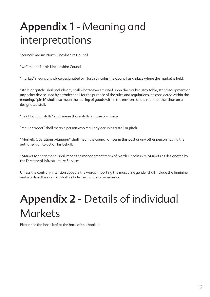# **Appendix 1** - Meaning and interpretations

"council" means North Lincolnshire Council.

"we" means North Lincolnshire Council

"market" means any place designated by North Lincolnshire Council as a place where the market is held.

"stall" or "pitch" shall include any stall whatsoever situated upon the market. Any table, stand equipment or any other device used by a trader shall for the purpose of the rules and regulations, be considered within the meaning. "pitch" shall also mean the placing of goods within the environs of the market other than on a designated stall.

"neighbouring stalls" shall mean those stalls in close proximity.

"regular trader" shall mean a person who regularly occupies a stall or pitch

"Markets Operations Manager" shall mean the council officer in this post or any other person having the authorisation to act on his behalf.

"Market Management" shall mean the management team of North Lincolnshire Markets as designated by the Director of Infrastructure Services.

Unless the contrary intention appears the words importing the masculine gender shall include the feminine and words in the singular shall include the plural and vice-versa.

# **Appendix 2** - Details of individual **Markets**

Please see the loose leaf at the back of this booklet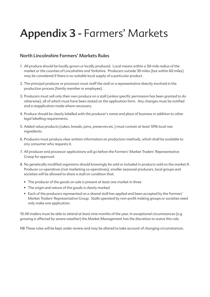# **Appendix 3** - Farmers' Markets

### **North Lincolnshire Farmers' Markets Rules**

- 1. All produce should be locally grown or locally produced. Local means within a 30-mile radius of the market or the counties of Lincolnshire and Yorkshire. Producers outside 30 miles (but within 60 miles) may be considered if there is no suitable local supply of a particular product.
- 2. The principal producer or processor must staff the stall or a representative directly involved in the production process (family member or employee).
- 3. Producers must sell only their own produce on a stall (unless specific permission has been granted to do otherwise), all of which must have been stated on the application form. Any changes must be notified and a reapplication made where necessary.
- 4. Produce should be clearly labelled with the producer's name and place of business in addition to other legal labelling requirements.
- 5. Added value products (cakes, breads, jams, preserves etc.) must contain at least 10% local raw ingredients.
- 6. Producers must produce clear written information on production methods, which shall be available to any consumer who requests it.
- 7. All producer and processor applications will go before the Farmers' Market Traders' Representative Group for approval.
- 8. No genetically modified organisms should knowingly be sold or included in products sold on the market.9. Producer co-operatives (not marketing co-operatives), smaller seasonal producers, local groups and societies will be allowed to share a stall on condition that:
	- The producer of the goods on sale is present at least one market in three
	- The origin and nature of the goods is clearly marked
	- Each of the producers represented on a shared stall has applied and been accepted by the Farmers' Market Traders' Representative Group. Stalls operated by non-profit making groups or societies need only make one application.

10.All traders must be able to attend at least nine months of the year. In exceptional circumstances (e.g. growing is affected by severe weather) the Market Management has the discretion to waive this rule.

NB These rules will be kept under review and may be altered to take account of changing circumstances.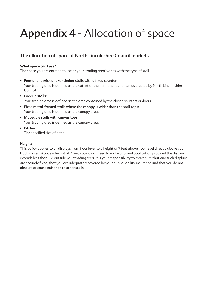# **Appendix 4** - Allocation of space

# **The allocation of space at North Lincolnshire Council markets**

#### **What space can I use?**

The space you are entitled to use or your 'trading area' varies with the type of stall.

- **Permanent brick and/or timber stalls with a fixed counter:** Your trading area is defined as the extent of the permanent counter, as erected by North Lincolnshire Council
- **Lock up stalls:** Your trading area is defined as the area contained by the closed shutters or doors
- **Fixed metal-framed stalls where the canopy is wider than the stall tops:** Your trading area is defined as the canopy area.
- **Moveable stalls with canvas tops:** Your trading area is defined as the canopy area.
- **Pitches:** The specified size of pitch

#### **Height:**

This policy applies to all displays from floor level to a height of 7 feet above floor level directly above your trading area. Above a height of 7 feet you do not need to make a formal application provided the display extends less than 18" outside your trading area. It is your responsibility to make sure that any such displays are securely fixed, that you are adequately covered by your public liability insurance and that you do not obscure or cause nuisance to other stalls.